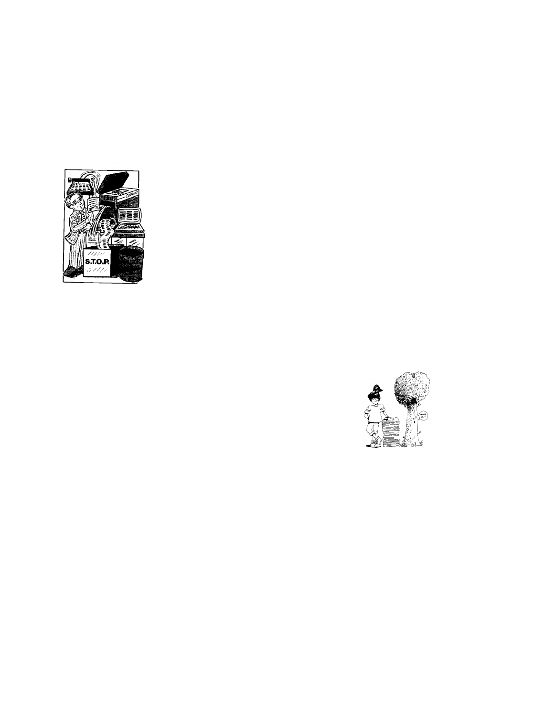

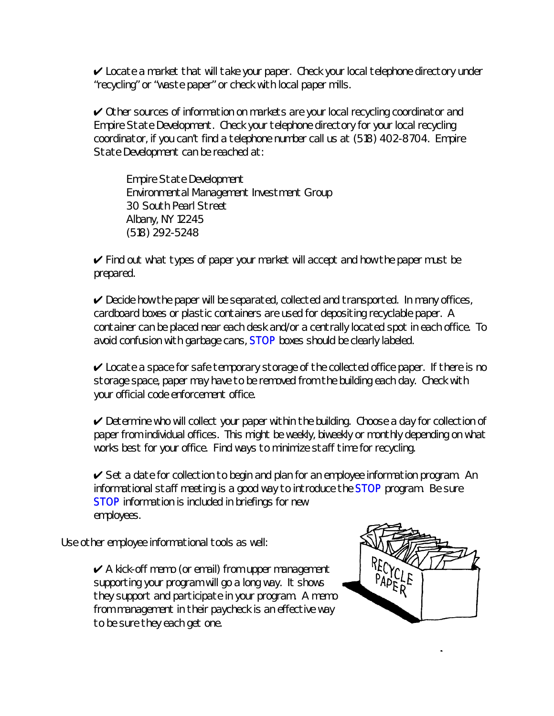$\vee$  Locate a market that will take your paper. Check your local telephone directory under "recycling" or "waste paper" or check with local paper mills.

 $\vee$  Other sources of information on markets are your local recycling coordinator and Empire State Development. Check your telephone directory for your local recycling coordinator, if you can't find a telephone number call us at (518) 402-8704. Empire State Development can be reached at:

Empire State Development Environmental Management Investment Group 30 South Pearl Street Albany, NY 12245 (518) 292-5248

 $\checkmark$  Find out what types of paper your market will accept and how the paper must be prepared.

 $\vee$  Decide how the paper will be separated, collected and transported. In many offices, cardboard boxes or plastic containers are used for depositing recyclable paper. A container can be placed near each desk and/or a centrally located spot in each office. To avoid confusion with garbage cans, STOP boxes should be clearly labeled.

 $\vee$  Locate a space for safe temporary storage of the collected office paper. If there is no storage space, paper may have to be removed from the building each day. Check with your official code enforcement office.

 $\vee$  Determine who will collect your paper within the building. Choose a day for collection of paper from individual offices. This might be weekly, biweekly or monthly depending on what works best for your office. Find ways to minimize staff time for recycling.

 $\vee$  Set a date for collection to begin and plan for an employee information program. An informational staff meeting is a good way to introduce the STOP program. Be sure **STOP** information is included in briefings for new employees.

Use other employee informational tools as well:

 $\swarrow$  A kick-off memo (or email) from upper management supporting your program will go a long way. It shows they support and participate in your program. A memo from management in their paycheck is an effective way to be sure they each get one.